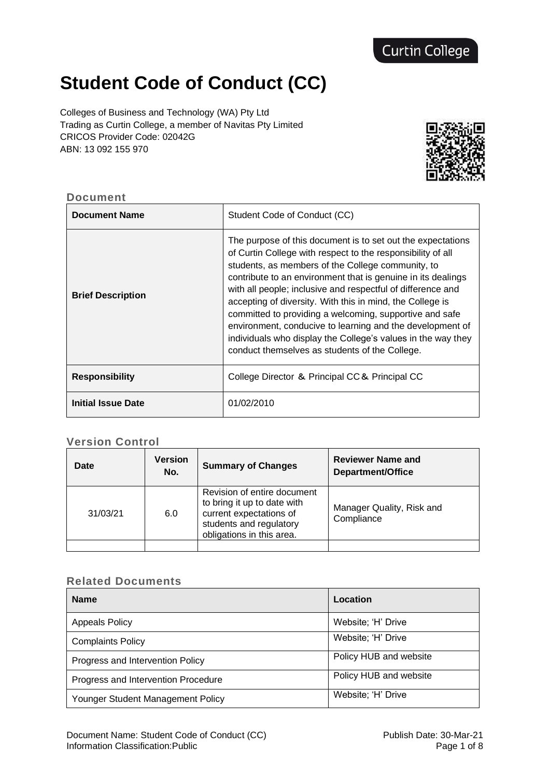## Curtin College

# **Student Code of Conduct (CC)**

Colleges of Business and Technology (WA) Pty Ltd Trading as Curtin College, a member of Navitas Pty Limited CRICOS Provider Code: 02042G ABN: 13 092 155 970

#### **Document**

| <b>Document Name</b>     | Student Code of Conduct (CC)                                                                                                                                                                                                                                                                                                                                                                                                                                                                                                                                                                                          |  |
|--------------------------|-----------------------------------------------------------------------------------------------------------------------------------------------------------------------------------------------------------------------------------------------------------------------------------------------------------------------------------------------------------------------------------------------------------------------------------------------------------------------------------------------------------------------------------------------------------------------------------------------------------------------|--|
| <b>Brief Description</b> | The purpose of this document is to set out the expectations<br>of Curtin College with respect to the responsibility of all<br>students, as members of the College community, to<br>contribute to an environment that is genuine in its dealings<br>with all people; inclusive and respectful of difference and<br>accepting of diversity. With this in mind, the College is<br>committed to providing a welcoming, supportive and safe<br>environment, conducive to learning and the development of<br>individuals who display the College's values in the way they<br>conduct themselves as students of the College. |  |
| <b>Responsibility</b>    | College Director & Principal CC& Principal CC                                                                                                                                                                                                                                                                                                                                                                                                                                                                                                                                                                         |  |
| Initial Issue Date       | 01/02/2010                                                                                                                                                                                                                                                                                                                                                                                                                                                                                                                                                                                                            |  |

#### **Version Control**

| <b>Version</b><br><b>Date</b><br>No. |     | <b>Summary of Changes</b>                                                                                                                     | <b>Reviewer Name and</b><br>Department/Office |
|--------------------------------------|-----|-----------------------------------------------------------------------------------------------------------------------------------------------|-----------------------------------------------|
| 31/03/21                             | 6.0 | Revision of entire document<br>to bring it up to date with<br>current expectations of<br>students and regulatory<br>obligations in this area. | Manager Quality, Risk and<br>Compliance       |
|                                      |     |                                                                                                                                               |                                               |

#### **Related Documents**

| <b>Name</b>                         | Location               |
|-------------------------------------|------------------------|
| <b>Appeals Policy</b>               | Website; 'H' Drive     |
| <b>Complaints Policy</b>            | Website; 'H' Drive     |
| Progress and Intervention Policy    | Policy HUB and website |
| Progress and Intervention Procedure | Policy HUB and website |
| Younger Student Management Policy   | Website; 'H' Drive     |

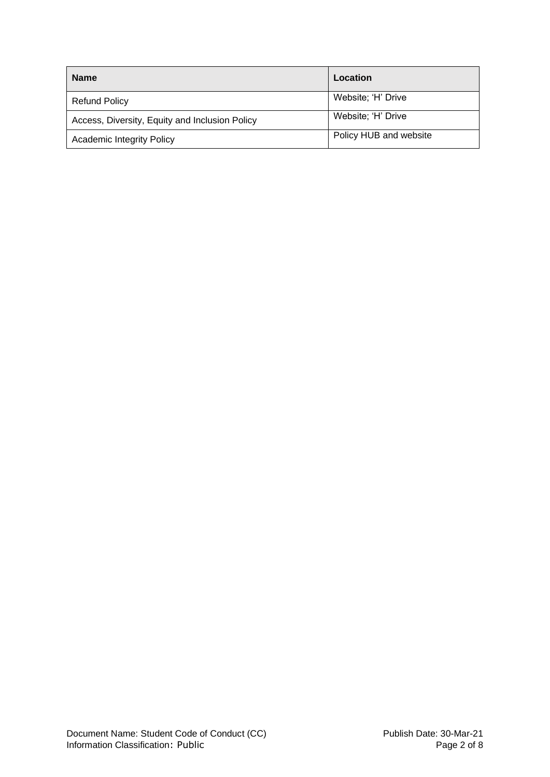| <b>Name</b>                                    | Location               |
|------------------------------------------------|------------------------|
| <b>Refund Policy</b>                           | Website; 'H' Drive     |
| Access, Diversity, Equity and Inclusion Policy | Website; 'H' Drive     |
| <b>Academic Integrity Policy</b>               | Policy HUB and website |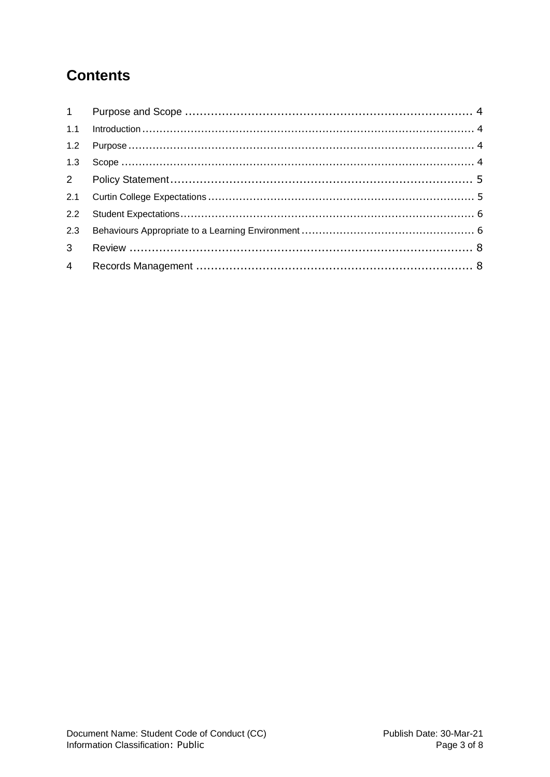### **Contents**

| 2.2 |  |
|-----|--|
| 2.3 |  |
|     |  |
|     |  |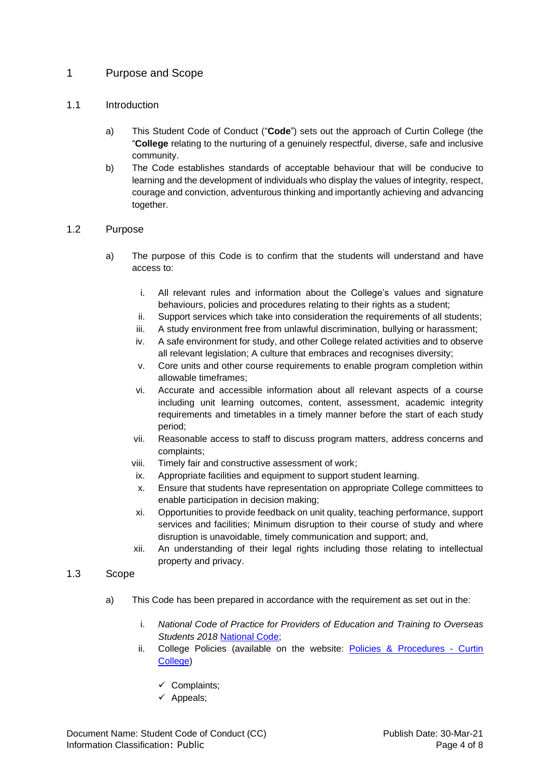#### <span id="page-3-0"></span>1 Purpose and Scope

#### <span id="page-3-1"></span>1.1 Introduction

- a) This Student Code of Conduct ("**Code**") sets out the approach of Curtin College (the "**College** relating to the nurturing of a genuinely respectful, diverse, safe and inclusive community.
- b) The Code establishes standards of acceptable behaviour that will be conducive to learning and the development of individuals who display the values of integrity, respect, courage and conviction, adventurous thinking and importantly achieving and advancing together.

#### <span id="page-3-2"></span>1.2 Purpose

- a) The purpose of this Code is to confirm that the students will understand and have access to:
	- i. All relevant rules and information about the College's values and signature behaviours, policies and procedures relating to their rights as a student;
	- ii. Support services which take into consideration the requirements of all students;
	- iii. A study environment free from unlawful discrimination, bullying or harassment;
	- iv. A safe environment for study, and other College related activities and to observe all relevant legislation; A culture that embraces and recognises diversity;
	- v. Core units and other course requirements to enable program completion within allowable timeframes;
	- vi. Accurate and accessible information about all relevant aspects of a course including unit learning outcomes, content, assessment, academic integrity requirements and timetables in a timely manner before the start of each study period;
	- vii. Reasonable access to staff to discuss program matters, address concerns and complaints;
	- viii. Timely fair and constructive assessment of work;
	- ix. Appropriate facilities and equipment to support student learning.
	- x. Ensure that students have representation on appropriate College committees to enable participation in decision making;
	- xi. Opportunities to provide feedback on unit quality, teaching performance, support services and facilities; Minimum disruption to their course of study and where disruption is unavoidable, timely communication and support; and,
	- xii. An understanding of their legal rights including those relating to intellectual property and privacy.

#### <span id="page-3-3"></span>1.3 Scope

- a) This Code has been prepared in accordance with the requirement as set out in the:
	- i. *National Code of Practice for Providers of Education and Training to Overseas Students 2018* [National Code;](https://www.legislation.gov.au/Details/F2017L01182/Html/Text#_Toc487026957)
	- ii. College Policies (available on the website: [Policies & Procedures -](https://www.curtincollege.edu.au/about-curtin-college/policies-procedures/) Curtin [College\)](https://www.curtincollege.edu.au/about-curtin-college/policies-procedures/)
		- ✓ Complaints;
		- ✓ Appeals;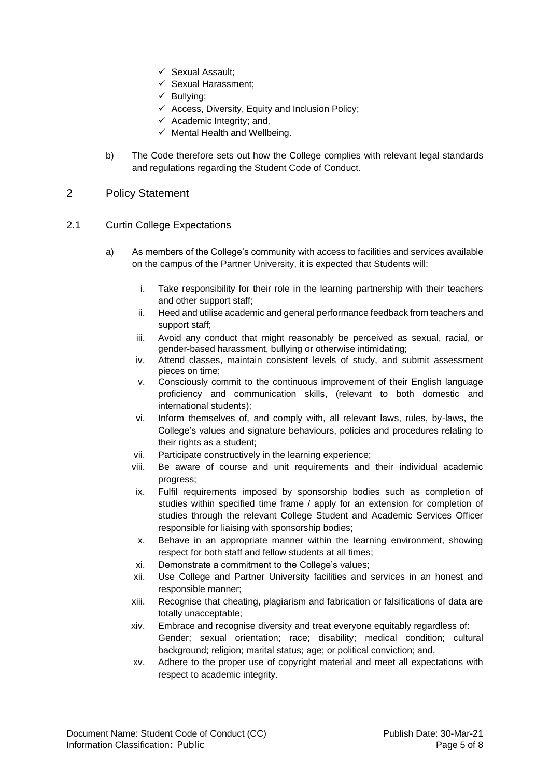- ✓ Sexual Assault;
- ✓ Sexual Harassment;
- $\checkmark$  Bullying;
- $\checkmark$  Access, Diversity, Equity and Inclusion Policy;
- $\checkmark$  Academic Integrity; and,
- $\checkmark$  Mental Health and Wellbeing.
- b) The Code therefore sets out how the College complies with relevant legal standards and regulations regarding the Student Code of Conduct.

#### <span id="page-4-0"></span>2 Policy Statement

#### <span id="page-4-1"></span>2.1 Curtin College Expectations

- a) As members of the College's community with access to facilities and services available on the campus of the Partner University, it is expected that Students will:
	- i. Take responsibility for their role in the learning partnership with their teachers and other support staff;
	- ii. Heed and utilise academic and general performance feedback from teachers and support staff;
	- iii. Avoid any conduct that might reasonably be perceived as sexual, racial, or gender-based harassment, bullying or otherwise intimidating;
	- iv. Attend classes, maintain consistent levels of study, and submit assessment pieces on time;
	- v. Consciously commit to the continuous improvement of their English language proficiency and communication skills, (relevant to both domestic and international students);
	- vi. Inform themselves of, and comply with, all relevant laws, rules, by-laws, the College's values and signature behaviours, policies and procedures relating to their rights as a student;
	- vii. Participate constructively in the learning experience;
	- viii. Be aware of course and unit requirements and their individual academic progress;
	- ix. Fulfil requirements imposed by sponsorship bodies such as completion of studies within specified time frame / apply for an extension for completion of studies through the relevant College Student and Academic Services Officer responsible for liaising with sponsorship bodies;
	- x. Behave in an appropriate manner within the learning environment, showing respect for both staff and fellow students at all times;
	- xi. Demonstrate a commitment to the College's values;
	- xii. Use College and Partner University facilities and services in an honest and responsible manner;
	- xiii. Recognise that cheating, plagiarism and fabrication or falsifications of data are totally unacceptable;
	- xiv. Embrace and recognise diversity and treat everyone equitably regardless of: Gender; sexual orientation; race; disability; medical condition; cultural background; religion; marital status; age; or political conviction; and,
	- xv. Adhere to the proper use of copyright material and meet all expectations with respect to academic integrity.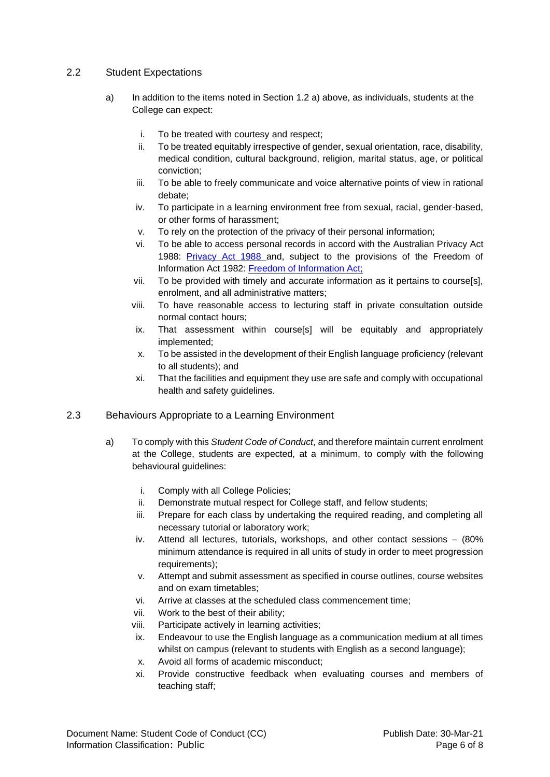#### <span id="page-5-0"></span>2.2 Student Expectations

- a) In addition to the items noted in Section 1.2 a) above, as individuals, students at the College can expect:
	- i. To be treated with courtesy and respect;
	- ii. To be treated equitably irrespective of gender, sexual orientation, race, disability, medical condition, cultural background, religion, marital status, age, or political conviction;
	- iii. To be able to freely communicate and voice alternative points of view in rational debate;
	- iv. To participate in a learning environment free from sexual, racial, gender-based, or other forms of harassment;
	- v. To rely on the protection of the privacy of their personal information;
	- vi. To be able to access personal records in accord with the Australian Privacy Act 1988: [Privacy Act 1988 and,](https://www.legislation.gov.au/Details/C2021C00139) subject to the provisions of the Freedom of Information Act 1982: [Freedom of Information Act;](https://www.legislation.gov.au/Details/C2020C00366)
	- vii. To be provided with timely and accurate information as it pertains to course[s], enrolment, and all administrative matters;
	- viii. To have reasonable access to lecturing staff in private consultation outside normal contact hours;
	- ix. That assessment within course[s] will be equitably and appropriately implemented;
	- x. To be assisted in the development of their English language proficiency (relevant to all students); and
	- xi. That the facilities and equipment they use are safe and comply with occupational health and safety guidelines.

#### <span id="page-5-1"></span>2.3 Behaviours Appropriate to a Learning Environment

- a) To comply with this *Student Code of Conduct*, and therefore maintain current enrolment at the College, students are expected, at a minimum, to comply with the following behavioural guidelines:
	- i. Comply with all College Policies;
	- ii. Demonstrate mutual respect for College staff, and fellow students;
	- iii. Prepare for each class by undertaking the required reading, and completing all necessary tutorial or laboratory work;
	- iv. Attend all lectures, tutorials, workshops, and other contact sessions (80% minimum attendance is required in all units of study in order to meet progression requirements):
	- v. Attempt and submit assessment as specified in course outlines, course websites and on exam timetables;
	- vi. Arrive at classes at the scheduled class commencement time;
	- vii. Work to the best of their ability;
	- viii. Participate actively in learning activities;
	- ix. Endeavour to use the English language as a communication medium at all times whilst on campus (relevant to students with English as a second language);
	- x. Avoid all forms of academic misconduct;
	- xi. Provide constructive feedback when evaluating courses and members of teaching staff;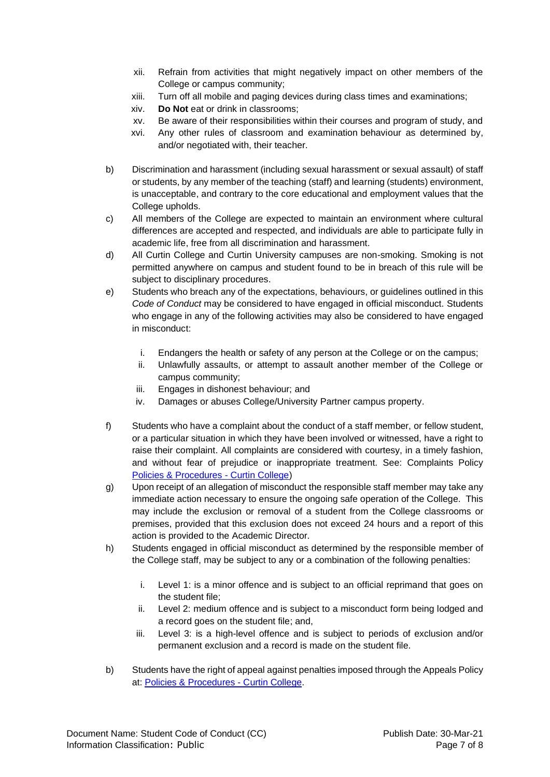- xii. Refrain from activities that might negatively impact on other members of the College or campus community;
- xiii. Turn off all mobile and paging devices during class times and examinations;
- xiv. **Do Not** eat or drink in classrooms;
- xv. Be aware of their responsibilities within their courses and program of study, and
- xvi. Any other rules of classroom and examination behaviour as determined by, and/or negotiated with, their teacher.
- b) Discrimination and harassment (including sexual harassment or sexual assault) of staff or students, by any member of the teaching (staff) and learning (students) environment, is unacceptable, and contrary to the core educational and employment values that the College upholds.
- c) All members of the College are expected to maintain an environment where cultural differences are accepted and respected, and individuals are able to participate fully in academic life, free from all discrimination and harassment.
- d) All Curtin College and Curtin University campuses are non-smoking. Smoking is not permitted anywhere on campus and student found to be in breach of this rule will be subject to disciplinary procedures.
- e) Students who breach any of the expectations, behaviours, or guidelines outlined in this *Code of Conduct* may be considered to have engaged in official misconduct. Students who engage in any of the following activities may also be considered to have engaged in misconduct:
	- i. Endangers the health or safety of any person at the College or on the campus;
	- ii. Unlawfully assaults, or attempt to assault another member of the College or campus community;
	- iii. Engages in dishonest behaviour; and
	- iv. Damages or abuses College/University Partner campus property.
- f) Students who have a complaint about the conduct of a staff member, or fellow student, or a particular situation in which they have been involved or witnessed, have a right to raise their complaint. All complaints are considered with courtesy, in a timely fashion, and without fear of prejudice or inappropriate treatment. See: Complaints Policy [Policies & Procedures -](https://www.curtincollege.edu.au/about-curtin-college/policies-procedures/) Curtin College)
- g) Upon receipt of an allegation of misconduct the responsible staff member may take any immediate action necessary to ensure the ongoing safe operation of the College. This may include the exclusion or removal of a student from the College classrooms or premises, provided that this exclusion does not exceed 24 hours and a report of this action is provided to the Academic Director.
- h) Students engaged in official misconduct as determined by the responsible member of the College staff, may be subject to any or a combination of the following penalties:
	- i. Level 1: is a minor offence and is subject to an official reprimand that goes on the student file;
	- ii. Level 2: medium offence and is subject to a misconduct form being lodged and a record goes on the student file; and,
	- iii. Level 3: is a high-level offence and is subject to periods of exclusion and/or permanent exclusion and a record is made on the student file.
- b) Students have the right of appeal against penalties imposed through the Appeals Policy at: [Policies & Procedures -](https://www.curtincollege.edu.au/about-curtin-college/policies-procedures/) Curtin College.